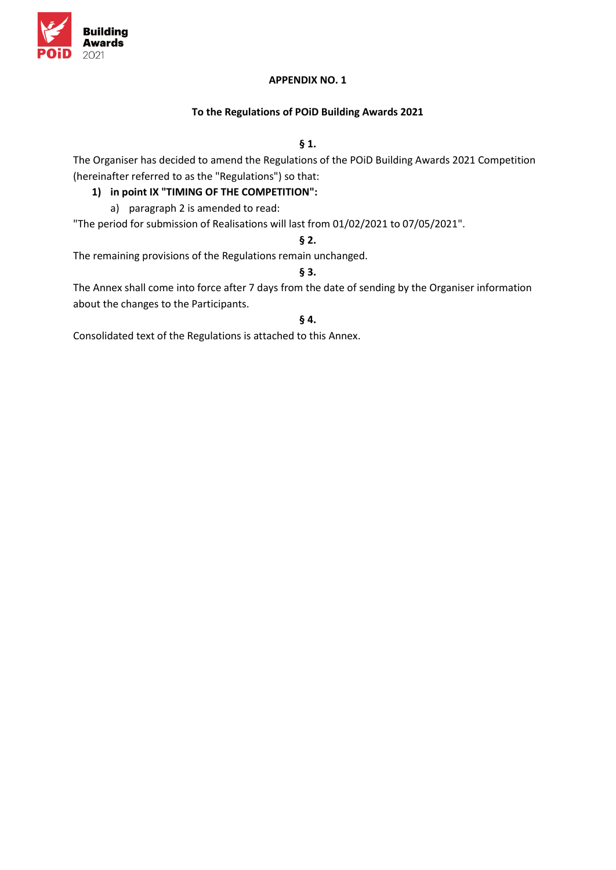

### **APPENDIX NO. 1**

### **To the Regulations of POiD Building Awards 2021**

## **§ 1.**

The Organiser has decided to amend the Regulations of the POiD Building Awards 2021 Competition (hereinafter referred to as the "Regulations") so that:

## **1) in point IX "TIMING OF THE COMPETITION":**

a) paragraph 2 is amended to read:

"The period for submission of Realisations will last from 01/02/2021 to 07/05/2021".

#### **§ 2.**

The remaining provisions of the Regulations remain unchanged.

## **§ 3.**

The Annex shall come into force after 7 days from the date of sending by the Organiser information about the changes to the Participants.

### **§ 4.**

Consolidated text of the Regulations is attached to this Annex.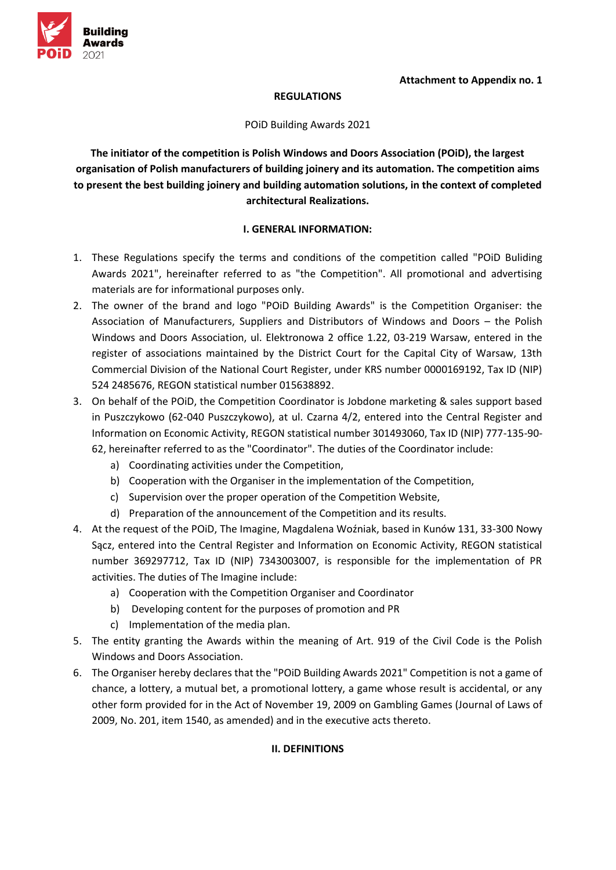

#### **REGULATIONS**

POiD Building Awards 2021

**The initiator of the competition is Polish Windows and Doors Association (POiD), the largest organisation of Polish manufacturers of building joinery and its automation. The competition aims to present the best building joinery and building automation solutions, in the context of completed architectural Realizations.**

### **I. GENERAL INFORMATION:**

- 1. These Regulations specify the terms and conditions of the competition called "POiD Buliding Awards 2021", hereinafter referred to as "the Competition". All promotional and advertising materials are for informational purposes only.
- 2. The owner of the brand and logo "POiD Building Awards" is the Competition Organiser: the Association of Manufacturers, Suppliers and Distributors of Windows and Doors – the Polish Windows and Doors Association, ul. Elektronowa 2 office 1.22, 03-219 Warsaw, entered in the register of associations maintained by the District Court for the Capital City of Warsaw, 13th Commercial Division of the National Court Register, under KRS number 0000169192, Tax ID (NIP) 524 2485676, REGON statistical number 015638892.
- 3. On behalf of the POiD, the Competition Coordinator is Jobdone marketing & sales support based in Puszczykowo (62-040 Puszczykowo), at ul. Czarna 4/2, entered into the Central Register and Information on Economic Activity, REGON statistical number 301493060, Tax ID (NIP) 777-135-90- 62, hereinafter referred to as the "Coordinator". The duties of the Coordinator include:
	- a) Coordinating activities under the Competition,
	- b) Cooperation with the Organiser in the implementation of the Competition,
	- c) Supervision over the proper operation of the Competition Website,
	- d) Preparation of the announcement of the Competition and its results.
- 4. At the request of the POiD, The Imagine, Magdalena Woźniak, based in Kunów 131, 33-300 Nowy Sącz, entered into the Central Register and Information on Economic Activity, REGON statistical number 369297712, Tax ID (NIP) 7343003007, is responsible for the implementation of PR activities. The duties of The Imagine include:
	- a) Cooperation with the Competition Organiser and Coordinator
	- b) Developing content for the purposes of promotion and PR
	- c) Implementation of the media plan.
- 5. The entity granting the Awards within the meaning of Art. 919 of the Civil Code is the Polish Windows and Doors Association.
- 6. The Organiser hereby declares that the "POiD Building Awards 2021" Competition is not a game of chance, a lottery, a mutual bet, a promotional lottery, a game whose result is accidental, or any other form provided for in the Act of November 19, 2009 on Gambling Games (Journal of Laws of 2009, No. 201, item 1540, as amended) and in the executive acts thereto.

# **II. DEFINITIONS**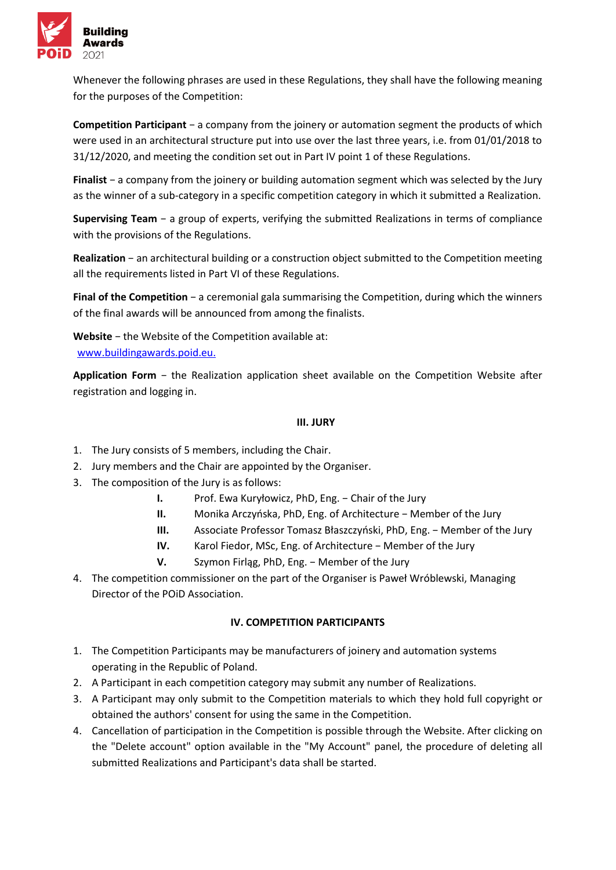

Whenever the following phrases are used in these Regulations, they shall have the following meaning for the purposes of the Competition:

**Competition Participant** − a company from the joinery or automation segment the products of which were used in an architectural structure put into use over the last three years, i.e. from 01/01/2018 to 31/12/2020, and meeting the condition set out in Part IV point 1 of these Regulations.

**Finalist** − a company from the joinery or building automation segment which was selected by the Jury as the winner of a sub-category in a specific competition category in which it submitted a Realization.

**Supervising Team** − a group of experts, verifying the submitted Realizations in terms of compliance with the provisions of the Regulations.

**Realization** − an architectural building or a construction object submitted to the Competition meeting all the requirements listed in Part VI of these Regulations.

**Final of the Competition** − a ceremonial gala summarising the Competition, during which the winners of the final awards will be announced from among the finalists.

**Website** − the Website of the Competition available at: [www.buildingawards.poid.eu.](http://www.buildingawards.poid.eus/)

**Application Form** − the Realization application sheet available on the Competition Website after registration and logging in.

### **III. JURY**

- 1. The Jury consists of 5 members, including the Chair.
- 2. Jury members and the Chair are appointed by the Organiser.
- 3. The composition of the Jury is as follows:
	- **I.** Prof. Ewa Kuryłowicz, PhD, Eng. − Chair of the Jury
	- **II.** Monika Arczyńska, PhD, Eng. of Architecture − Member of the Jury
	- **III.** Associate Professor Tomasz Błaszczyński, PhD, Eng. − Member of the Jury
	- **IV.** Karol Fiedor, MSc, Eng. of Architecture − Member of the Jury
	- **V.** Szymon Firląg, PhD, Eng. − Member of the Jury
- 4. The competition commissioner on the part of the Organiser is Paweł Wróblewski, Managing Director of the POiD Association.

# **IV. COMPETITION PARTICIPANTS**

- 1. The Competition Participants may be manufacturers of joinery and automation systems operating in the Republic of Poland.
- 2. A Participant in each competition category may submit any number of Realizations.
- 3. A Participant may only submit to the Competition materials to which they hold full copyright or obtained the authors' consent for using the same in the Competition.
- 4. Cancellation of participation in the Competition is possible through the Website. After clicking on the "Delete account" option available in the "My Account" panel, the procedure of deleting all submitted Realizations and Participant's data shall be started.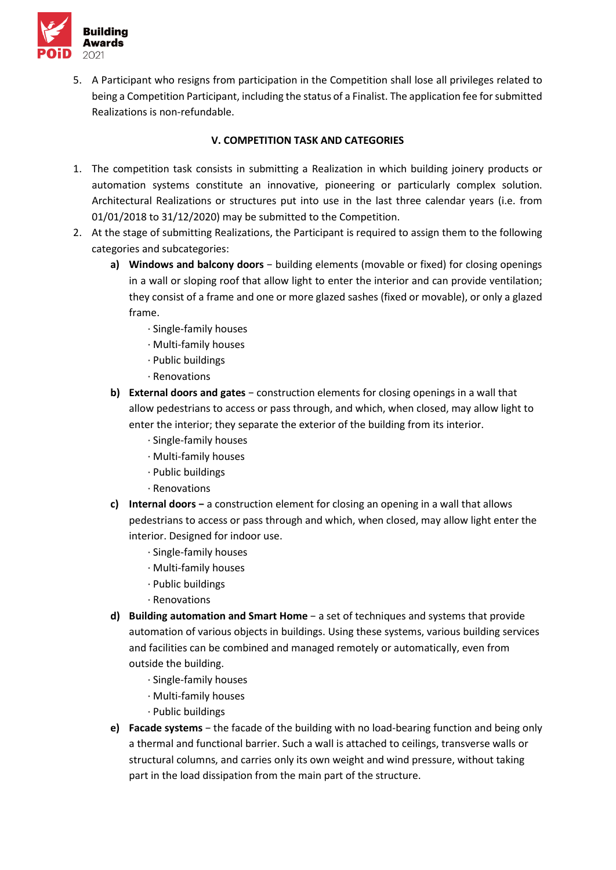

5. A Participant who resigns from participation in the Competition shall lose all privileges related to being a Competition Participant, including the status of a Finalist. The application fee for submitted Realizations is non-refundable.

# **V. COMPETITION TASK AND CATEGORIES**

- 1. The competition task consists in submitting a Realization in which building joinery products or automation systems constitute an innovative, pioneering or particularly complex solution. Architectural Realizations or structures put into use in the last three calendar years (i.e. from 01/01/2018 to 31/12/2020) may be submitted to the Competition.
- 2. At the stage of submitting Realizations, the Participant is required to assign them to the following categories and subcategories:
	- **a) Windows and balcony doors** − building elements (movable or fixed) for closing openings in a wall or sloping roof that allow light to enter the interior and can provide ventilation; they consist of a frame and one or more glazed sashes (fixed or movable), or only a glazed frame.
		- · Single-family houses
		- · Multi-family houses
		- · Public buildings
		- · Renovations
	- **b) External doors and gates** − construction elements for closing openings in a wall that allow pedestrians to access or pass through, and which, when closed, may allow light to enter the interior; they separate the exterior of the building from its interior.
		- · Single-family houses
		- · Multi-family houses
		- · Public buildings
		- · Renovations
	- **c) Internal doors −** a construction element for closing an opening in a wall that allows pedestrians to access or pass through and which, when closed, may allow light enter the interior. Designed for indoor use.
		- · Single-family houses
		- · Multi-family houses
		- · Public buildings
		- · Renovations
	- **d) Building automation and Smart Home** − a set of techniques and systems that provide automation of various objects in buildings. Using these systems, various building services and facilities can be combined and managed remotely or automatically, even from outside the building.
		- · Single-family houses
		- · Multi-family houses
		- · Public buildings
	- **e) Facade systems** − the facade of the building with no load-bearing function and being only a thermal and functional barrier. Such a wall is attached to ceilings, transverse walls or structural columns, and carries only its own weight and wind pressure, without taking part in the load dissipation from the main part of the structure.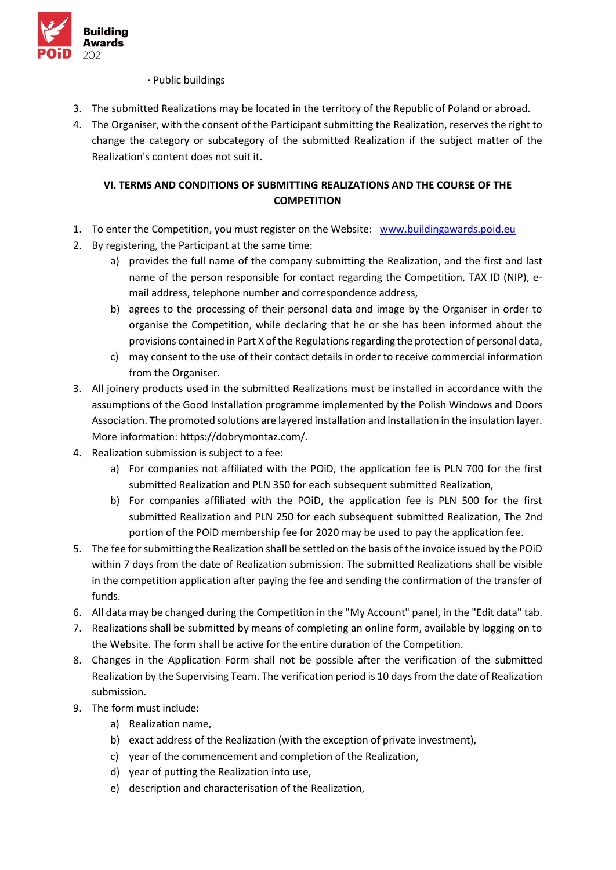

### · Public buildings

- 3. The submitted Realizations may be located in the territory of the Republic of Poland or abroad.
- 4. The Organiser, with the consent of the Participant submitting the Realization, reserves the right to change the category or subcategory of the submitted Realization if the subject matter of the Realization's content does not suit it.

# **VI. TERMS AND CONDITIONS OF SUBMITTING REALIZATIONS AND THE COURSE OF THE COMPETITION**

- 1.To enter the Competition, you must register on the Website: [www.buildingawards.poid.eu](http://www.buildingawards.poid.eus/)
- 2. By registering, the Participant at the same time:
	- a) provides the full name of the company submitting the Realization, and the first and last name of the person responsible for contact regarding the Competition, TAX ID (NIP), email address, telephone number and correspondence address,
	- b) agrees to the processing of their personal data and image by the Organiser in order to organise the Competition, while declaring that he or she has been informed about the provisions contained in Part X of the Regulations regarding the protection of personal data,
	- c) may consent to the use of their contact details in order to receive commercial information from the Organiser.
- 3. All joinery products used in the submitted Realizations must be installed in accordance with the assumptions of the Good Installation programme implemented by the Polish Windows and Doors Association. The promoted solutions are layered installation and installation in the insulation layer. More information: https://dobrymontaz.com/.
- 4. Realization submission is subject to a fee:
	- a) For companies not affiliated with the POiD, the application fee is PLN 700 for the first submitted Realization and PLN 350 for each subsequent submitted Realization,
	- b) For companies affiliated with the POiD, the application fee is PLN 500 for the first submitted Realization and PLN 250 for each subsequent submitted Realization, The 2nd portion of the POiD membership fee for 2020 may be used to pay the application fee.
- 5. The fee for submitting the Realization shall be settled on the basis of the invoice issued by the POiD within 7 days from the date of Realization submission. The submitted Realizations shall be visible in the competition application after paying the fee and sending the confirmation of the transfer of funds.
- 6. All data may be changed during the Competition in the "My Account" panel, in the "Edit data" tab.
- 7. Realizations shall be submitted by means of completing an online form, available by logging on to the Website. The form shall be active for the entire duration of the Competition.
- 8. Changes in the Application Form shall not be possible after the verification of the submitted Realization by the Supervising Team. The verification period is 10 days from the date of Realization submission.
- 9. The form must include:
	- a) Realization name,
	- b) exact address of the Realization (with the exception of private investment),
	- c) year of the commencement and completion of the Realization,
	- d) year of putting the Realization into use,
	- e) description and characterisation of the Realization,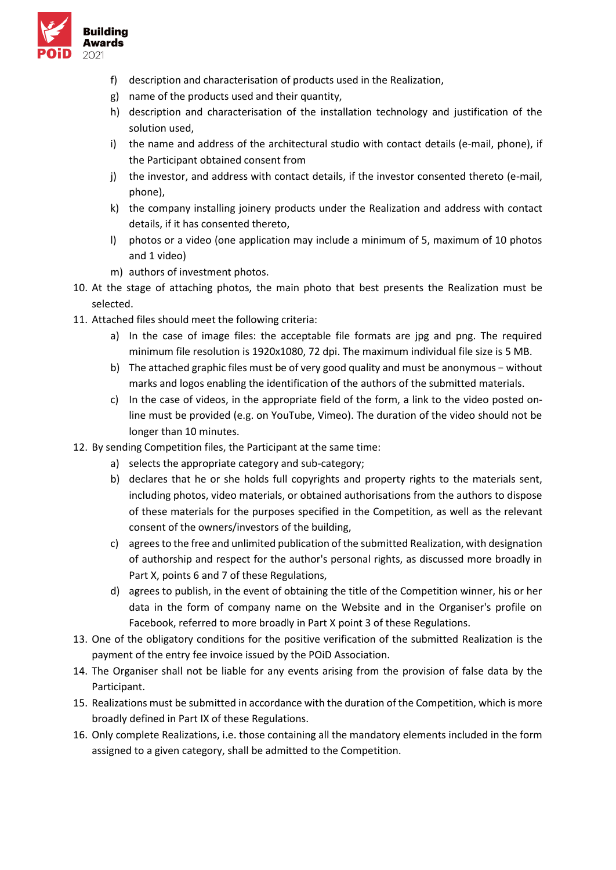

- f) description and characterisation of products used in the Realization,
- g) name of the products used and their quantity,
- h) description and characterisation of the installation technology and justification of the solution used,
- i) the name and address of the architectural studio with contact details (e-mail, phone), if the Participant obtained consent from
- j) the investor, and address with contact details, if the investor consented thereto (e-mail, phone),
- k) the company installing joinery products under the Realization and address with contact details, if it has consented thereto,
- l) photos or a video (one application may include a minimum of 5, maximum of 10 photos and 1 video)
- m) authors of investment photos.
- 10. At the stage of attaching photos, the main photo that best presents the Realization must be selected.
- 11. Attached files should meet the following criteria:
	- a) In the case of image files: the acceptable file formats are jpg and png. The required minimum file resolution is 1920x1080, 72 dpi. The maximum individual file size is 5 MB.
	- b) The attached graphic files must be of very good quality and must be anonymous − without marks and logos enabling the identification of the authors of the submitted materials.
	- c) In the case of videos, in the appropriate field of the form, a link to the video posted online must be provided (e.g. on YouTube, Vimeo). The duration of the video should not be longer than 10 minutes.
- 12. By sending Competition files, the Participant at the same time:
	- a) selects the appropriate category and sub-category;
	- b) declares that he or she holds full copyrights and property rights to the materials sent, including photos, video materials, or obtained authorisations from the authors to dispose of these materials for the purposes specified in the Competition, as well as the relevant consent of the owners/investors of the building,
	- c) agrees to the free and unlimited publication of the submitted Realization, with designation of authorship and respect for the author's personal rights, as discussed more broadly in Part X, points 6 and 7 of these Regulations,
	- d) agrees to publish, in the event of obtaining the title of the Competition winner, his or her data in the form of company name on the Website and in the Organiser's profile on Facebook, referred to more broadly in Part X point 3 of these Regulations.
- 13. One of the obligatory conditions for the positive verification of the submitted Realization is the payment of the entry fee invoice issued by the POiD Association.
- 14. The Organiser shall not be liable for any events arising from the provision of false data by the Participant.
- 15. Realizations must be submitted in accordance with the duration of the Competition, which is more broadly defined in Part IX of these Regulations.
- 16. Only complete Realizations, i.e. those containing all the mandatory elements included in the form assigned to a given category, shall be admitted to the Competition.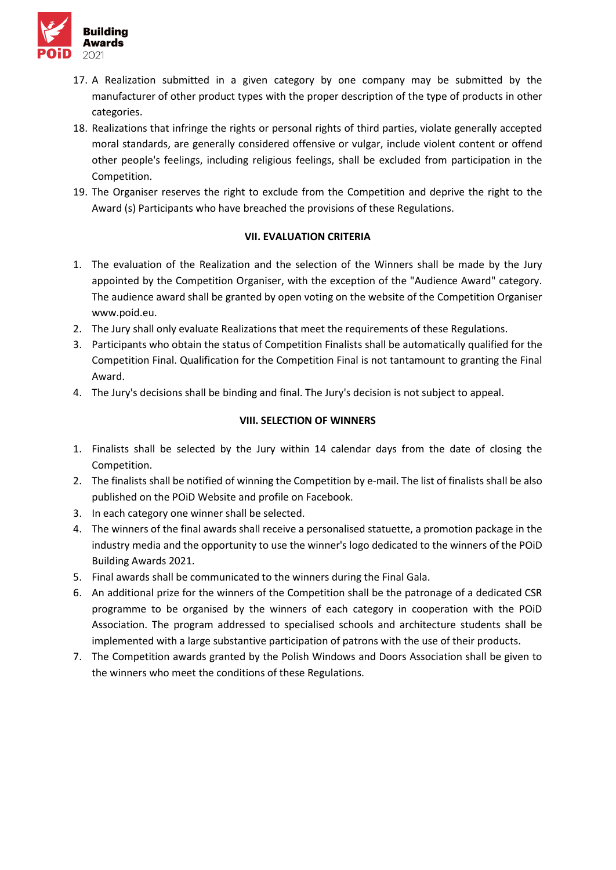

- 17. A Realization submitted in a given category by one company may be submitted by the manufacturer of other product types with the proper description of the type of products in other categories.
- 18. Realizations that infringe the rights or personal rights of third parties, violate generally accepted moral standards, are generally considered offensive or vulgar, include violent content or offend other people's feelings, including religious feelings, shall be excluded from participation in the Competition.
- 19. The Organiser reserves the right to exclude from the Competition and deprive the right to the Award (s) Participants who have breached the provisions of these Regulations.

### **VII. EVALUATION CRITERIA**

- 1. The evaluation of the Realization and the selection of the Winners shall be made by the Jury appointed by the Competition Organiser, with the exception of the "Audience Award" category. The audience award shall be granted by open voting on the website of the Competition Organiser www.poid.eu.
- 2. The Jury shall only evaluate Realizations that meet the requirements of these Regulations.
- 3. Participants who obtain the status of Competition Finalists shall be automatically qualified for the Competition Final. Qualification for the Competition Final is not tantamount to granting the Final Award.
- 4. The Jury's decisions shall be binding and final. The Jury's decision is not subject to appeal.

# **VIII. SELECTION OF WINNERS**

- 1. Finalists shall be selected by the Jury within 14 calendar days from the date of closing the Competition.
- 2. The finalists shall be notified of winning the Competition by e-mail. The list of finalists shall be also published on the POiD Website and profile on Facebook.
- 3. In each category one winner shall be selected.
- 4. The winners of the final awards shall receive a personalised statuette, a promotion package in the industry media and the opportunity to use the winner's logo dedicated to the winners of the POiD Building Awards 2021.
- 5. Final awards shall be communicated to the winners during the Final Gala.
- 6. An additional prize for the winners of the Competition shall be the patronage of a dedicated CSR programme to be organised by the winners of each category in cooperation with the POiD Association. The program addressed to specialised schools and architecture students shall be implemented with a large substantive participation of patrons with the use of their products.
- 7. The Competition awards granted by the Polish Windows and Doors Association shall be given to the winners who meet the conditions of these Regulations.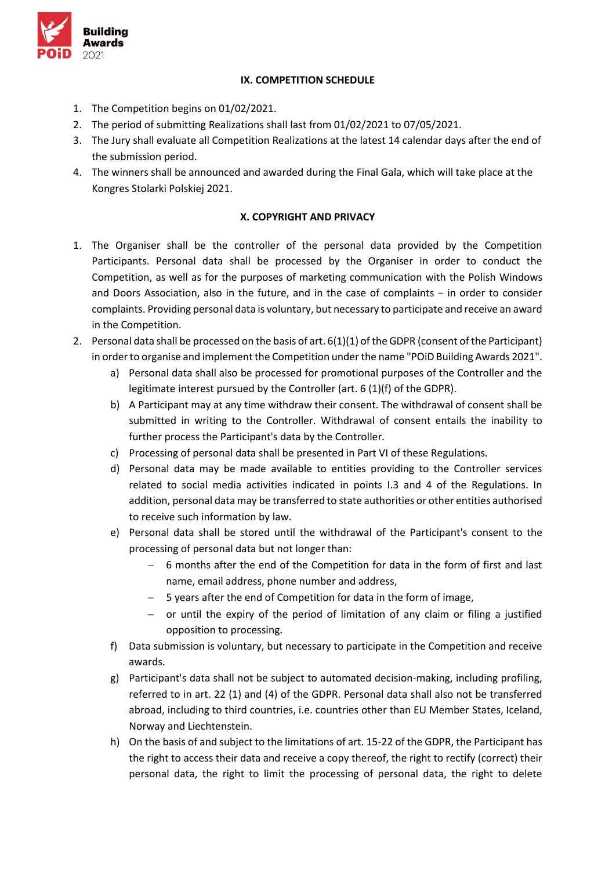

## **IX. COMPETITION SCHEDULE**

- 1. The Competition begins on 01/02/2021.
- 2. The period of submitting Realizations shall last from 01/02/2021 to 07/05/2021.
- 3. The Jury shall evaluate all Competition Realizations at the latest 14 calendar days after the end of the submission period.
- 4. The winners shall be announced and awarded during the Final Gala, which will take place at the Kongres Stolarki Polskiej 2021.

## **X. COPYRIGHT AND PRIVACY**

- 1. The Organiser shall be the controller of the personal data provided by the Competition Participants. Personal data shall be processed by the Organiser in order to conduct the Competition, as well as for the purposes of marketing communication with the Polish Windows and Doors Association, also in the future, and in the case of complaints − in order to consider complaints. Providing personal data is voluntary, but necessary to participate and receive an award in the Competition.
- 2. Personal data shall be processed on the basis of art. 6(1)(1) of the GDPR (consent of the Participant) in order to organise and implement the Competition under the name "POiD Building Awards 2021".
	- a) Personal data shall also be processed for promotional purposes of the Controller and the legitimate interest pursued by the Controller (art. 6 (1)(f) of the GDPR).
	- b) A Participant may at any time withdraw their consent. The withdrawal of consent shall be submitted in writing to the Controller. Withdrawal of consent entails the inability to further process the Participant's data by the Controller.
	- c) Processing of personal data shall be presented in Part VI of these Regulations.
	- d) Personal data may be made available to entities providing to the Controller services related to social media activities indicated in points I.3 and 4 of the Regulations. In addition, personal data may be transferred to state authorities or other entities authorised to receive such information by law.
	- e) Personal data shall be stored until the withdrawal of the Participant's consent to the processing of personal data but not longer than:
		- − 6 months after the end of the Competition for data in the form of first and last name, email address, phone number and address,
		- − 5 years after the end of Competition for data in the form of image,
		- − or until the expiry of the period of limitation of any claim or filing a justified opposition to processing.
	- f) Data submission is voluntary, but necessary to participate in the Competition and receive awards.
	- g) Participant's data shall not be subject to automated decision-making, including profiling, referred to in art. 22 (1) and (4) of the GDPR. Personal data shall also not be transferred abroad, including to third countries, i.e. countries other than EU Member States, Iceland, Norway and Liechtenstein.
	- h) On the basis of and subject to the limitations of art. 15-22 of the GDPR, the Participant has the right to access their data and receive a copy thereof, the right to rectify (correct) their personal data, the right to limit the processing of personal data, the right to delete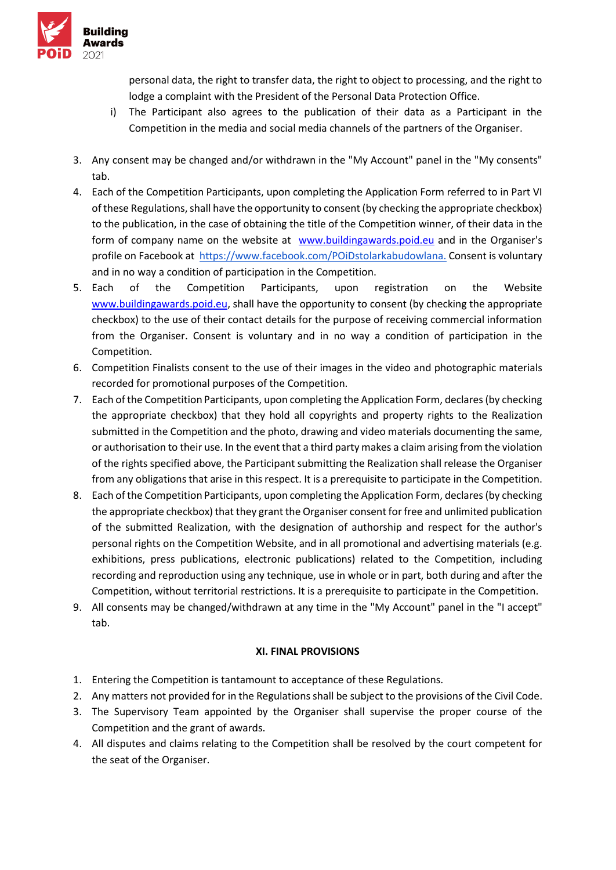

personal data, the right to transfer data, the right to object to processing, and the right to lodge a complaint with the President of the Personal Data Protection Office.

- i) The Participant also agrees to the publication of their data as a Participant in the Competition in the media and social media channels of the partners of the Organiser.
- 3. Any consent may be changed and/or withdrawn in the "My Account" panel in the "My consents" tab.
- 4. Each of the Competition Participants, upon completing the Application Form referred to in Part VI of these Regulations, shall have the opportunity to consent (by checking the appropriate checkbox) to the publication, in the case of obtaining the title of the Competition winner, of their data in the form of company name on the website at[www.buildingawards.poid.eu](http://www.buildingawards.poid.eus/) and in the Organiser's profile on Facebook a[t](http://www.facebook.com/xxx) [https://www.facebook.com/POiDstolarkabudowlana.](https://www.facebook.com/POiDstolarkabudowlana) Consent is voluntary and in no way a condition of participation in the Competition.
- 5. Each of the Competition Participants, upon registration on the Website [www.buildingawards.poid.eu,](http://www.buildingawards.poid.eus/) shall have the opportunity to consent (by checking the appropriate checkbox) to the use of their contact details for the purpose of receiving commercial information from the Organiser. Consent is voluntary and in no way a condition of participation in the Competition.
- 6. Competition Finalists consent to the use of their images in the video and photographic materials recorded for promotional purposes of the Competition.
- 7. Each of the Competition Participants, upon completing the Application Form, declares (by checking the appropriate checkbox) that they hold all copyrights and property rights to the Realization submitted in the Competition and the photo, drawing and video materials documenting the same, or authorisation to their use. In the event that a third party makes a claim arising from the violation of the rights specified above, the Participant submitting the Realization shall release the Organiser from any obligations that arise in this respect. It is a prerequisite to participate in the Competition.
- 8. Each of the Competition Participants, upon completing the Application Form, declares (by checking the appropriate checkbox) that they grant the Organiser consent for free and unlimited publication of the submitted Realization, with the designation of authorship and respect for the author's personal rights on the Competition Website, and in all promotional and advertising materials (e.g. exhibitions, press publications, electronic publications) related to the Competition, including recording and reproduction using any technique, use in whole or in part, both during and after the Competition, without territorial restrictions. It is a prerequisite to participate in the Competition.
- 9. All consents may be changed/withdrawn at any time in the "My Account" panel in the "I accept" tab.

# **XI. FINAL PROVISIONS**

- 1. Entering the Competition is tantamount to acceptance of these Regulations.
- 2. Any matters not provided for in the Regulations shall be subject to the provisions of the Civil Code.
- 3. The Supervisory Team appointed by the Organiser shall supervise the proper course of the Competition and the grant of awards.
- 4. All disputes and claims relating to the Competition shall be resolved by the court competent for the seat of the Organiser.